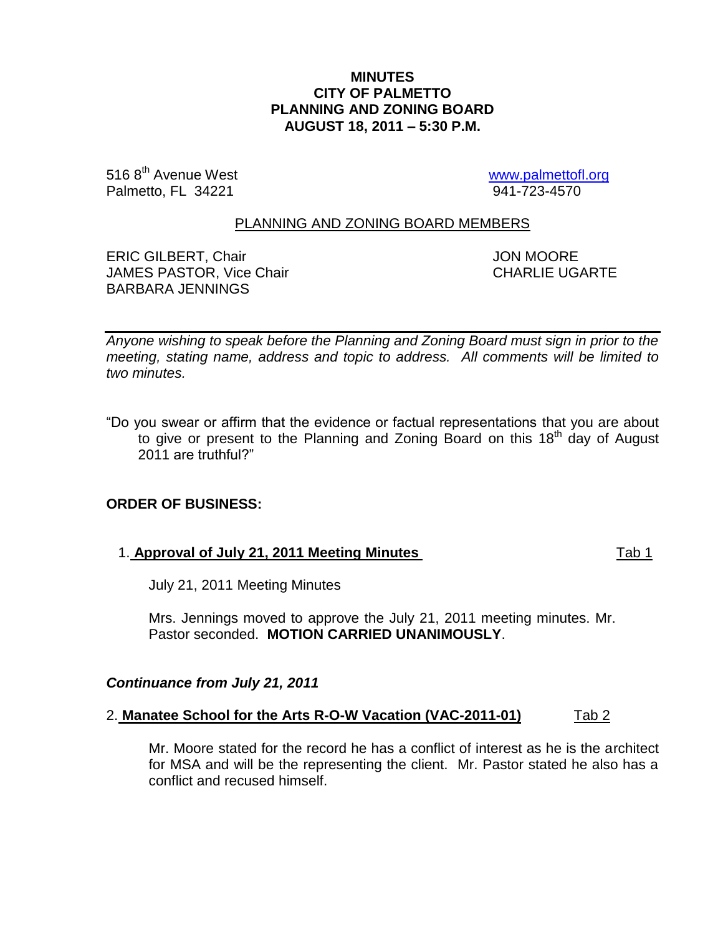### **MINUTES CITY OF PALMETTO PLANNING AND ZONING BOARD AUGUST 18, 2011 – 5:30 P.M.**

516 8<sup>th</sup> Avenue West [www.palmettofl.org](http://www.palmettofl.org/)<br>
Palmetto, FL 34221 34221 Palmetto, FL 34221

### PLANNING AND ZONING BOARD MEMBERS

ERIC GILBERT, Chair **Gilbert And Account Contract Contract Contract Contract Contract Contract Contract Contract Contract Contract Contract Contract Contract Contract Contract Contract Contract Contract Contract Contract C** JAMES PASTOR, Vice Chair CHARLIE UGARTE BARBARA JENNINGS

*Anyone wishing to speak before the Planning and Zoning Board must sign in prior to the meeting, stating name, address and topic to address. All comments will be limited to two minutes.*

"Do you swear or affirm that the evidence or factual representations that you are about to give or present to the Planning and Zoning Board on this 18<sup>th</sup> day of August 2011 are truthful?"

# **ORDER OF BUSINESS:**

### 1. **Approval of July 21, 2011 Meeting Minutes** Tab 1

July 21, 2011 Meeting Minutes

Mrs. Jennings moved to approve the July 21, 2011 meeting minutes. Mr. Pastor seconded. **MOTION CARRIED UNANIMOUSLY**.

### *Continuance from July 21, 2011*

#### 2. **Manatee School for the Arts R-O-W Vacation (VAC-2011-01)** Tab 2

Mr. Moore stated for the record he has a conflict of interest as he is the architect for MSA and will be the representing the client. Mr. Pastor stated he also has a conflict and recused himself.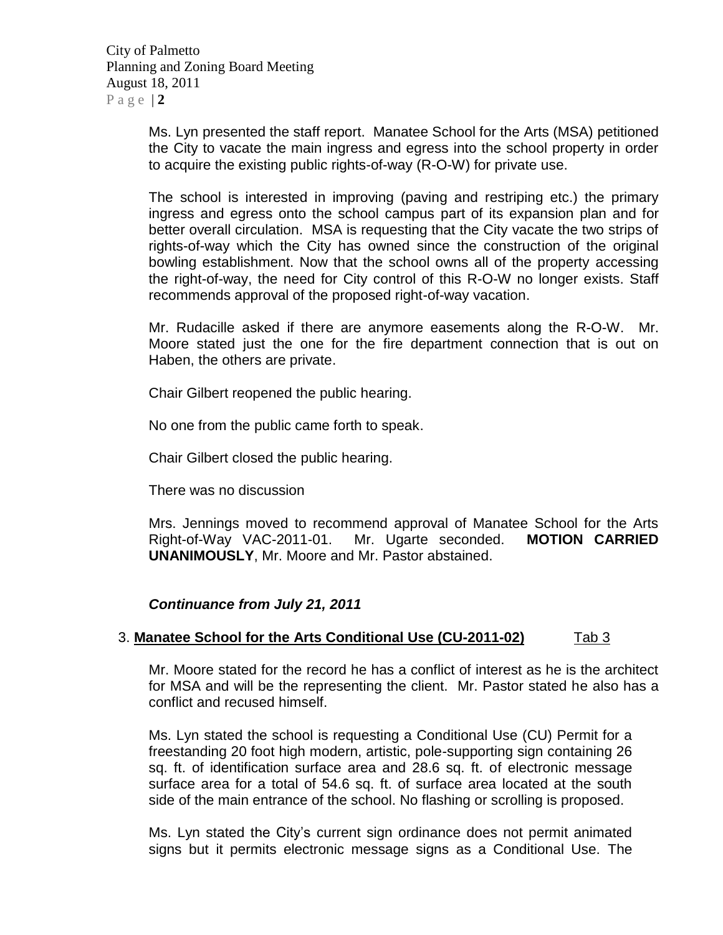City of Palmetto Planning and Zoning Board Meeting August 18, 2011  $P$  a g e  $|2$ 

> Ms. Lyn presented the staff report. Manatee School for the Arts (MSA) petitioned the City to vacate the main ingress and egress into the school property in order to acquire the existing public rights-of-way (R-O-W) for private use.

> The school is interested in improving (paving and restriping etc.) the primary ingress and egress onto the school campus part of its expansion plan and for better overall circulation. MSA is requesting that the City vacate the two strips of rights-of-way which the City has owned since the construction of the original bowling establishment. Now that the school owns all of the property accessing the right-of-way, the need for City control of this R-O-W no longer exists. Staff recommends approval of the proposed right-of-way vacation.

> Mr. Rudacille asked if there are anymore easements along the R-O-W. Mr. Moore stated just the one for the fire department connection that is out on Haben, the others are private.

Chair Gilbert reopened the public hearing.

No one from the public came forth to speak.

Chair Gilbert closed the public hearing.

There was no discussion

Mrs. Jennings moved to recommend approval of Manatee School for the Arts Right-of-Way VAC-2011-01. Mr. Ugarte seconded. **MOTION CARRIED UNANIMOUSLY**, Mr. Moore and Mr. Pastor abstained.

*Continuance from July 21, 2011*

# 3. **Manatee School for the Arts Conditional Use (CU-2011-02)** Tab 3

Mr. Moore stated for the record he has a conflict of interest as he is the architect for MSA and will be the representing the client. Mr. Pastor stated he also has a conflict and recused himself.

Ms. Lyn stated the school is requesting a Conditional Use (CU) Permit for a freestanding 20 foot high modern, artistic, pole-supporting sign containing 26 sq. ft. of identification surface area and 28.6 sq. ft. of electronic message surface area for a total of 54.6 sq. ft. of surface area located at the south side of the main entrance of the school. No flashing or scrolling is proposed.

Ms. Lyn stated the City's current sign ordinance does not permit animated signs but it permits electronic message signs as a Conditional Use. The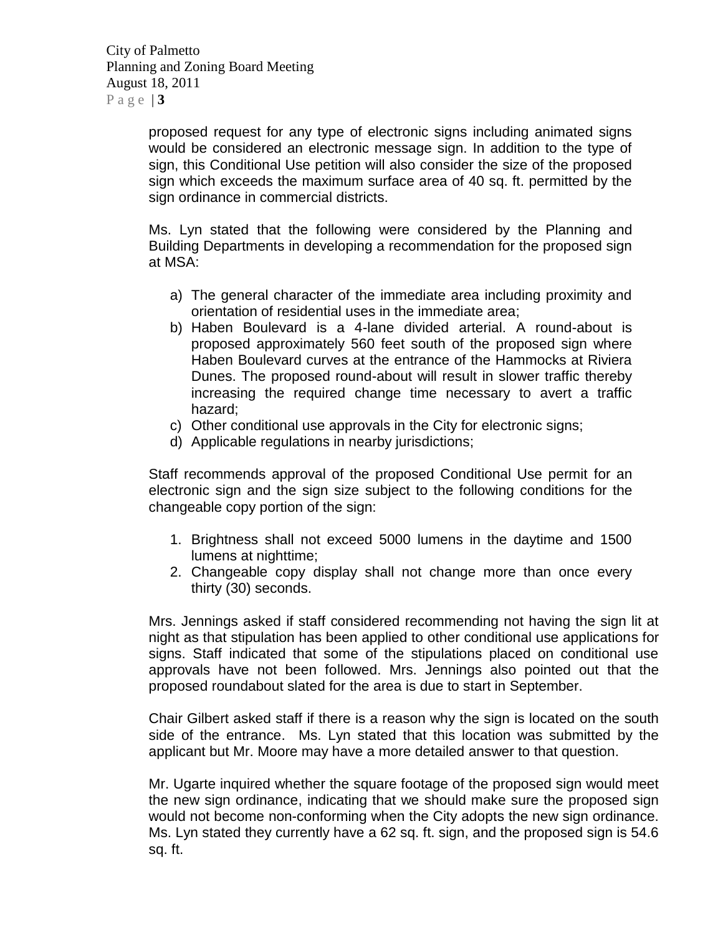City of Palmetto Planning and Zoning Board Meeting August 18, 2011 Page  $|3|$ 

> proposed request for any type of electronic signs including animated signs would be considered an electronic message sign. In addition to the type of sign, this Conditional Use petition will also consider the size of the proposed sign which exceeds the maximum surface area of 40 sq. ft. permitted by the sign ordinance in commercial districts.

> Ms. Lyn stated that the following were considered by the Planning and Building Departments in developing a recommendation for the proposed sign at MSA:

- a) The general character of the immediate area including proximity and orientation of residential uses in the immediate area;
- b) Haben Boulevard is a 4-lane divided arterial. A round-about is proposed approximately 560 feet south of the proposed sign where Haben Boulevard curves at the entrance of the Hammocks at Riviera Dunes. The proposed round-about will result in slower traffic thereby increasing the required change time necessary to avert a traffic hazard;
- c) Other conditional use approvals in the City for electronic signs;
- d) Applicable regulations in nearby jurisdictions;

Staff recommends approval of the proposed Conditional Use permit for an electronic sign and the sign size subject to the following conditions for the changeable copy portion of the sign:

- 1. Brightness shall not exceed 5000 lumens in the daytime and 1500 lumens at nighttime;
- 2. Changeable copy display shall not change more than once every thirty (30) seconds.

Mrs. Jennings asked if staff considered recommending not having the sign lit at night as that stipulation has been applied to other conditional use applications for signs. Staff indicated that some of the stipulations placed on conditional use approvals have not been followed. Mrs. Jennings also pointed out that the proposed roundabout slated for the area is due to start in September.

Chair Gilbert asked staff if there is a reason why the sign is located on the south side of the entrance. Ms. Lyn stated that this location was submitted by the applicant but Mr. Moore may have a more detailed answer to that question.

Mr. Ugarte inquired whether the square footage of the proposed sign would meet the new sign ordinance, indicating that we should make sure the proposed sign would not become non-conforming when the City adopts the new sign ordinance. Ms. Lyn stated they currently have a 62 sq. ft. sign, and the proposed sign is 54.6 sq. ft.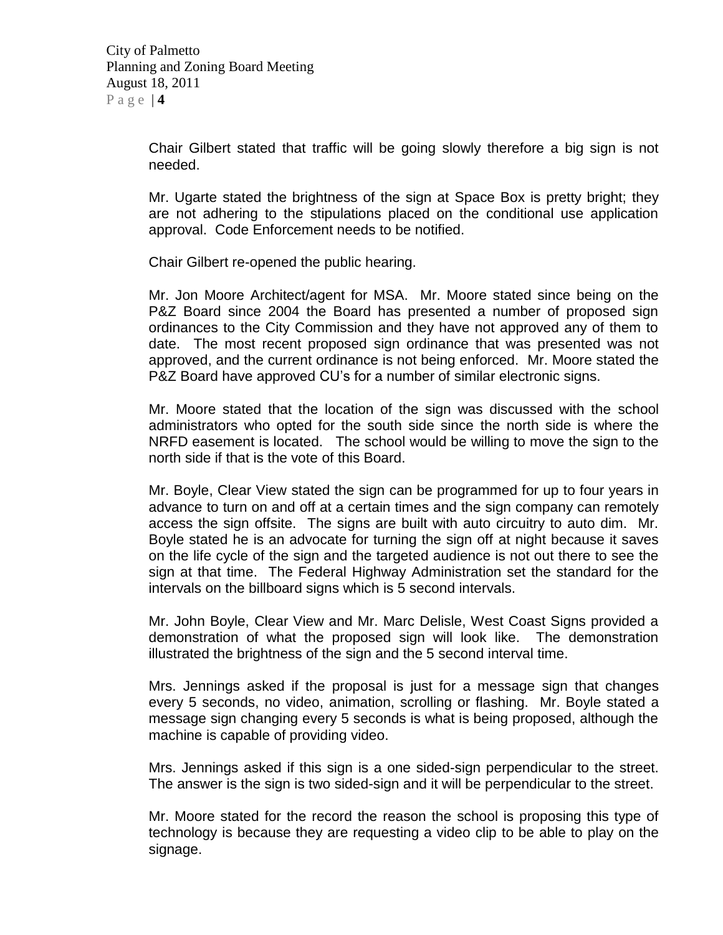Chair Gilbert stated that traffic will be going slowly therefore a big sign is not needed.

Mr. Ugarte stated the brightness of the sign at Space Box is pretty bright; they are not adhering to the stipulations placed on the conditional use application approval. Code Enforcement needs to be notified.

Chair Gilbert re-opened the public hearing.

Mr. Jon Moore Architect/agent for MSA. Mr. Moore stated since being on the P&Z Board since 2004 the Board has presented a number of proposed sign ordinances to the City Commission and they have not approved any of them to date. The most recent proposed sign ordinance that was presented was not approved, and the current ordinance is not being enforced. Mr. Moore stated the P&Z Board have approved CU's for a number of similar electronic signs.

Mr. Moore stated that the location of the sign was discussed with the school administrators who opted for the south side since the north side is where the NRFD easement is located. The school would be willing to move the sign to the north side if that is the vote of this Board.

Mr. Boyle, Clear View stated the sign can be programmed for up to four years in advance to turn on and off at a certain times and the sign company can remotely access the sign offsite. The signs are built with auto circuitry to auto dim. Mr. Boyle stated he is an advocate for turning the sign off at night because it saves on the life cycle of the sign and the targeted audience is not out there to see the sign at that time. The Federal Highway Administration set the standard for the intervals on the billboard signs which is 5 second intervals.

Mr. John Boyle, Clear View and Mr. Marc Delisle, West Coast Signs provided a demonstration of what the proposed sign will look like. The demonstration illustrated the brightness of the sign and the 5 second interval time.

Mrs. Jennings asked if the proposal is just for a message sign that changes every 5 seconds, no video, animation, scrolling or flashing. Mr. Boyle stated a message sign changing every 5 seconds is what is being proposed, although the machine is capable of providing video.

Mrs. Jennings asked if this sign is a one sided-sign perpendicular to the street. The answer is the sign is two sided-sign and it will be perpendicular to the street.

Mr. Moore stated for the record the reason the school is proposing this type of technology is because they are requesting a video clip to be able to play on the signage.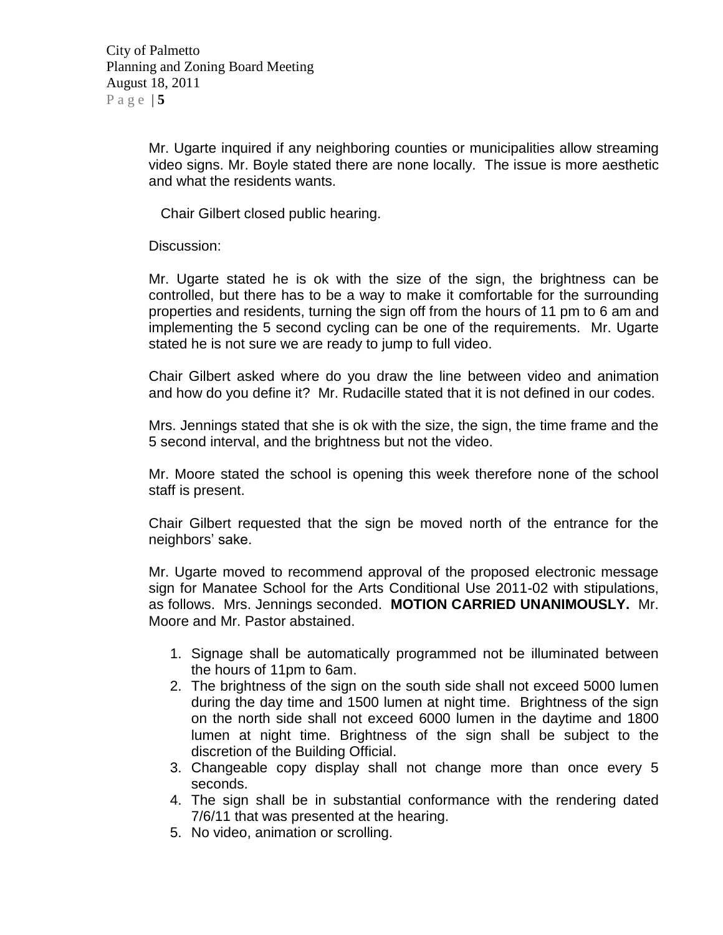Mr. Ugarte inquired if any neighboring counties or municipalities allow streaming video signs. Mr. Boyle stated there are none locally. The issue is more aesthetic and what the residents wants.

Chair Gilbert closed public hearing.

Discussion:

Mr. Ugarte stated he is ok with the size of the sign, the brightness can be controlled, but there has to be a way to make it comfortable for the surrounding properties and residents, turning the sign off from the hours of 11 pm to 6 am and implementing the 5 second cycling can be one of the requirements. Mr. Ugarte stated he is not sure we are ready to jump to full video.

Chair Gilbert asked where do you draw the line between video and animation and how do you define it? Mr. Rudacille stated that it is not defined in our codes.

Mrs. Jennings stated that she is ok with the size, the sign, the time frame and the 5 second interval, and the brightness but not the video.

Mr. Moore stated the school is opening this week therefore none of the school staff is present.

Chair Gilbert requested that the sign be moved north of the entrance for the neighbors' sake.

Mr. Ugarte moved to recommend approval of the proposed electronic message sign for Manatee School for the Arts Conditional Use 2011-02 with stipulations, as follows. Mrs. Jennings seconded. **MOTION CARRIED UNANIMOUSLY.** Mr. Moore and Mr. Pastor abstained.

- 1. Signage shall be automatically programmed not be illuminated between the hours of 11pm to 6am.
- 2. The brightness of the sign on the south side shall not exceed 5000 lumen during the day time and 1500 lumen at night time. Brightness of the sign on the north side shall not exceed 6000 lumen in the daytime and 1800 lumen at night time. Brightness of the sign shall be subject to the discretion of the Building Official.
- 3. Changeable copy display shall not change more than once every 5 seconds.
- 4. The sign shall be in substantial conformance with the rendering dated 7/6/11 that was presented at the hearing.
- 5. No video, animation or scrolling.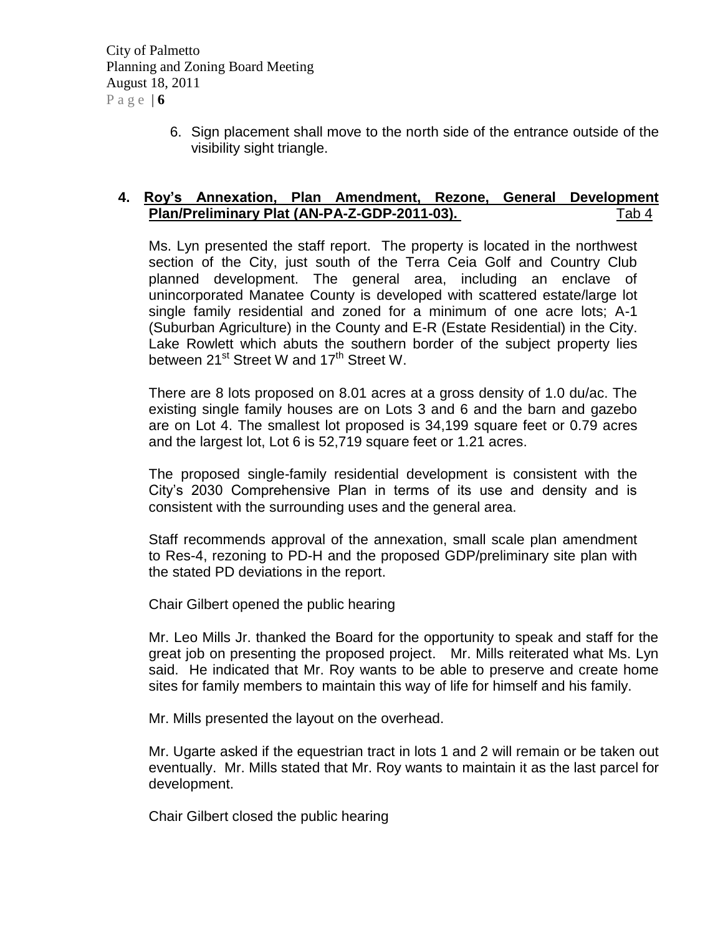City of Palmetto Planning and Zoning Board Meeting August 18, 2011 Page  $\vert 6 \vert$ 

> 6. Sign placement shall move to the north side of the entrance outside of the visibility sight triangle.

# **4. Roy's Annexation, Plan Amendment, Rezone, General Development Plan/Preliminary Plat (AN-PA-Z-GDP-2011-03).** Tab 4

Ms. Lyn presented the staff report. The property is located in the northwest section of the City, just south of the Terra Ceia Golf and Country Club planned development. The general area, including an enclave of unincorporated Manatee County is developed with scattered estate/large lot single family residential and zoned for a minimum of one acre lots; A-1 (Suburban Agriculture) in the County and E-R (Estate Residential) in the City. Lake Rowlett which abuts the southern border of the subject property lies between 21<sup>st</sup> Street W and 17<sup>th</sup> Street W.

There are 8 lots proposed on 8.01 acres at a gross density of 1.0 du/ac. The existing single family houses are on Lots 3 and 6 and the barn and gazebo are on Lot 4. The smallest lot proposed is 34,199 square feet or 0.79 acres and the largest lot, Lot 6 is 52,719 square feet or 1.21 acres.

The proposed single-family residential development is consistent with the City's 2030 Comprehensive Plan in terms of its use and density and is consistent with the surrounding uses and the general area.

Staff recommends approval of the annexation, small scale plan amendment to Res-4, rezoning to PD-H and the proposed GDP/preliminary site plan with the stated PD deviations in the report.

Chair Gilbert opened the public hearing

Mr. Leo Mills Jr. thanked the Board for the opportunity to speak and staff for the great job on presenting the proposed project. Mr. Mills reiterated what Ms. Lyn said. He indicated that Mr. Roy wants to be able to preserve and create home sites for family members to maintain this way of life for himself and his family.

Mr. Mills presented the layout on the overhead.

Mr. Ugarte asked if the equestrian tract in lots 1 and 2 will remain or be taken out eventually. Mr. Mills stated that Mr. Roy wants to maintain it as the last parcel for development.

Chair Gilbert closed the public hearing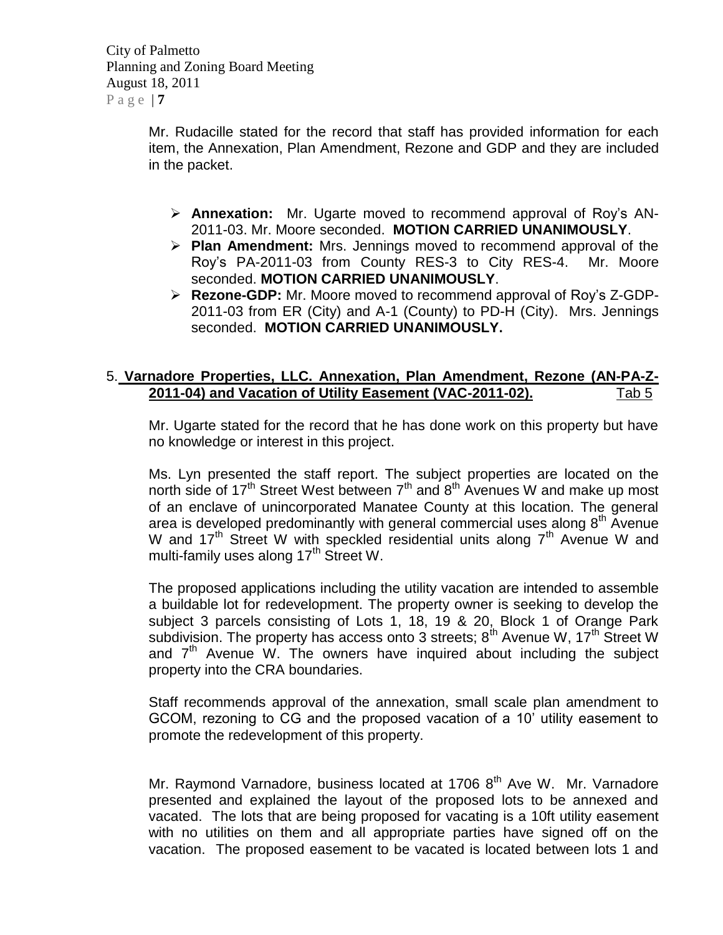City of Palmetto Planning and Zoning Board Meeting August 18, 2011  $P$  a g e  $|Z|$ 

> Mr. Rudacille stated for the record that staff has provided information for each item, the Annexation, Plan Amendment, Rezone and GDP and they are included in the packet.

- **Annexation:** Mr. Ugarte moved to recommend approval of Roy's AN-2011-03. Mr. Moore seconded. **MOTION CARRIED UNANIMOUSLY**.
- **Plan Amendment:** Mrs. Jennings moved to recommend approval of the Roy's PA-2011-03 from County RES-3 to City RES-4. Mr. Moore seconded. **MOTION CARRIED UNANIMOUSLY**.
- **Rezone-GDP:** Mr. Moore moved to recommend approval of Roy's Z-GDP-2011-03 from ER (City) and A-1 (County) to PD-H (City). Mrs. Jennings seconded. **MOTION CARRIED UNANIMOUSLY.**

# 5. **Varnadore Properties, LLC. Annexation, Plan Amendment, Rezone (AN-PA-Z-2011-04) and Vacation of Utility Easement (VAC-2011-02).** Tab 5

Mr. Ugarte stated for the record that he has done work on this property but have no knowledge or interest in this project.

Ms. Lyn presented the staff report. The subject properties are located on the north side of 17<sup>th</sup> Street West between  $7<sup>th</sup>$  and  $8<sup>th</sup>$  Avenues W and make up most of an enclave of unincorporated Manatee County at this location. The general area is developed predominantly with general commercial uses along  $8<sup>th</sup>$  Avenue W and 17<sup>th</sup> Street W with speckled residential units along  $7<sup>th</sup>$  Avenue W and multi-family uses along  $17<sup>th</sup>$  Street W.

The proposed applications including the utility vacation are intended to assemble a buildable lot for redevelopment. The property owner is seeking to develop the subject 3 parcels consisting of Lots 1, 18, 19 & 20, Block 1 of Orange Park subdivision. The property has access onto 3 streets;  $8<sup>th</sup>$  Avenue W, 17<sup>th</sup> Street W and  $7<sup>th</sup>$  Avenue W. The owners have inquired about including the subject property into the CRA boundaries.

Staff recommends approval of the annexation, small scale plan amendment to GCOM, rezoning to CG and the proposed vacation of a 10' utility easement to promote the redevelopment of this property.

Mr. Raymond Varnadore, business located at 1706 8<sup>th</sup> Ave W. Mr. Varnadore presented and explained the layout of the proposed lots to be annexed and vacated. The lots that are being proposed for vacating is a 10ft utility easement with no utilities on them and all appropriate parties have signed off on the vacation. The proposed easement to be vacated is located between lots 1 and